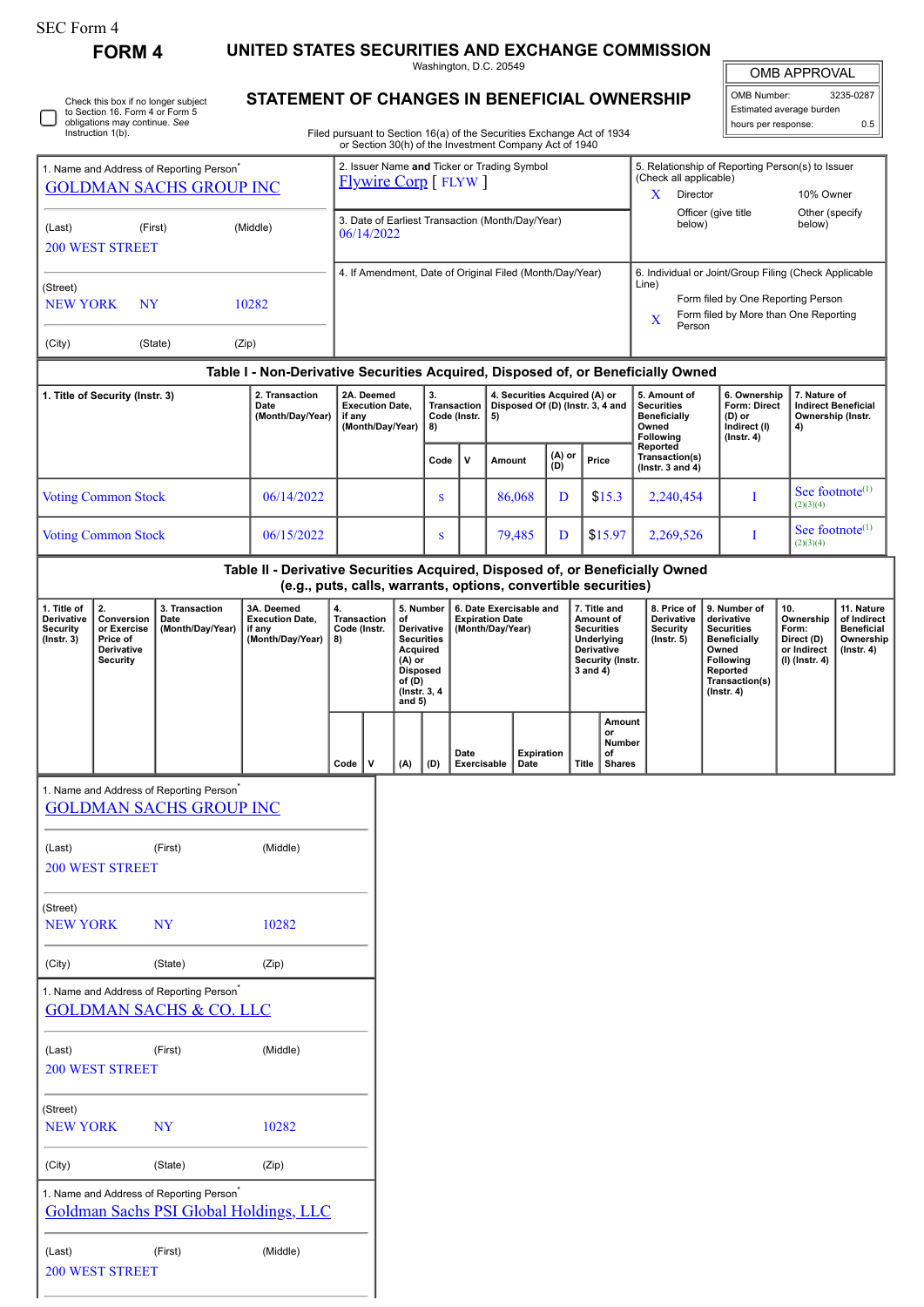## SEC Form 4

**FORM 4 UNITED STATES SECURITIES AND EXCHANGE COMMISSION**

Washington, D.C. 20549

OMB APPROVAL OMB Number: 3235-0287

| ◡ | Check this box if no longer subject<br>to Section 16. Form 4 or Form 5<br>obligations may continue. See<br>Instruction 1(b). |
|---|------------------------------------------------------------------------------------------------------------------------------|
|---|------------------------------------------------------------------------------------------------------------------------------|

## **STATEMENT OF CHANGES IN BENEFICIAL OWNERSHIP**

| to Section 16. Form 4 or Form 5<br>obligations may continue. See<br>Instruction 1(b).  |                                                                                  | Filed pursuant to Section 16(a) of the Securities Exchange Act of 1934<br>or Section 30(h) of the Investment Company Act of 1940 |              |              |                                                                                                                                                                                    |                 |                                         |                                                                                | Estimated average burden<br>hours per response:                              | 0.5                                                                   |
|----------------------------------------------------------------------------------------|----------------------------------------------------------------------------------|----------------------------------------------------------------------------------------------------------------------------------|--------------|--------------|------------------------------------------------------------------------------------------------------------------------------------------------------------------------------------|-----------------|-----------------------------------------|--------------------------------------------------------------------------------|------------------------------------------------------------------------------|-----------------------------------------------------------------------|
| 1. Name and Address of Reporting Person <sup>*</sup><br><b>GOLDMAN SACHS GROUP INC</b> | 2. Issuer Name and Ticker or Trading Symbol<br><b>Flywire Corp</b> [FLYW]        |                                                                                                                                  |              |              |                                                                                                                                                                                    |                 | (Check all applicable)<br>X<br>Director | 5. Relationship of Reporting Person(s) to Issuer<br>10% Owner                  |                                                                              |                                                                       |
| (Last)<br>(First)<br><b>200 WEST STREET</b>                                            | (Middle)                                                                         | 3. Date of Earliest Transaction (Month/Day/Year)<br>06/14/2022                                                                   |              |              | Officer (give title<br>below)                                                                                                                                                      |                 | Other (specify<br>below)                |                                                                                |                                                                              |                                                                       |
| (Street)<br><b>NEW YORK</b><br><b>NY</b><br>(City)<br>(State)                          | 10282<br>(Zip)                                                                   | 4. If Amendment, Date of Original Filed (Month/Day/Year)                                                                         |              |              | 6. Individual or Joint/Group Filing (Check Applicable<br>Line)<br>Form filed by One Reporting Person<br>Form filed by More than One Reporting<br>$\overline{\mathbf{X}}$<br>Person |                 |                                         |                                                                                |                                                                              |                                                                       |
|                                                                                        | Table I - Non-Derivative Securities Acquired, Disposed of, or Beneficially Owned |                                                                                                                                  |              |              |                                                                                                                                                                                    |                 |                                         |                                                                                |                                                                              |                                                                       |
| 1. Title of Security (Instr. 3)                                                        | 2. Transaction<br>Date<br>(Month/Day/Year)                                       | 2A. Deemed<br>3.<br><b>Execution Date,</b><br><b>Transaction</b><br>Code (Instr.<br>if any<br>(Month/Day/Year)<br>8)             |              |              | 4. Securities Acquired (A) or<br>Disposed Of (D) (Instr. 3, 4 and<br>5)                                                                                                            |                 |                                         | 5. Amount of<br><b>Securities</b><br><b>Beneficially</b><br>Owned<br>Following | 6. Ownership<br>Form: Direct<br>$(D)$ or<br>Indirect (I)<br>$($ lnstr. 4 $)$ | 7. Nature of<br><b>Indirect Beneficial</b><br>Ownership (Instr.<br>4) |
|                                                                                        |                                                                                  |                                                                                                                                  | Code         | $\mathsf{v}$ | Amount                                                                                                                                                                             | $(A)$ or<br>(D) | Price                                   | Reported<br>Transaction(s)<br>( $lnstr. 3 and 4$ )                             |                                                                              |                                                                       |
| <b>Voting Common Stock</b>                                                             | 06/14/2022                                                                       |                                                                                                                                  | <sup>S</sup> |              | 86,068                                                                                                                                                                             | D               | \$15.3                                  | 2,240,454                                                                      |                                                                              | See footnote $(1)$<br>(2)(3)(4)                                       |
| <b>Voting Common Stock</b>                                                             | 06/15/2022                                                                       |                                                                                                                                  | <sub>S</sub> |              | 79,485                                                                                                                                                                             | D               | \$15.97                                 | 2,269,526                                                                      |                                                                              | See footnote $(1)$<br>(2)(3)(4)                                       |

**(e.g., puts, calls, warrants, options, convertible securities) 1. Title of Derivative Security (Instr. 3) 2. Conversion or Exercise Price of Derivative Security 3. Transaction Date (Month/Day/Year) 3A. Deemed Execution Date, if any (Month/Day/Year) 4. Transaction Code (Instr. 8) 5. Number of Derivative Securities Acquired (A) or Disposed of (D) (Instr. 3, 4 and 5) 6. Date Exercisable and Expiration Date (Month/Day/Year) 7. Title and Amount of Securities Underlying Derivative Security (Instr. 3 and 4) 8. Price of Derivative Security (Instr. 5) 9. Number of derivative Securities Beneficially Owned Following Reported Transaction(s) (Instr. 4) 10. Ownership Form: Direct (D) or Indirect (I) (Instr. 4) 11. Nature of Indirect Beneficial Ownership (Instr. 4) Code V (A) (D) Date Exercisable Expiration Date Title Amount or Number of Shares**

| 1. Name and Address of Reporting Person <sup>®</sup> |           |                                        |
|------------------------------------------------------|-----------|----------------------------------------|
| <u>GOLDMAN SACHS GROUP INC</u>                       |           |                                        |
|                                                      |           |                                        |
| (Last)                                               | (First)   | (Middle)                               |
| <b>200 WEST STREET</b>                               |           |                                        |
| (Street)                                             |           |                                        |
| <b>NEW YORK</b>                                      | <b>NY</b> | 10282                                  |
|                                                      |           |                                        |
| (City)                                               | (State)   | (Zip)                                  |
| 1. Name and Address of Reporting Person <sup>*</sup> |           |                                        |
| <u>GOLDMAN SACHS &amp; CO. LLC</u>                   |           |                                        |
|                                                      |           |                                        |
| (Last)                                               | (First)   | (Middle)                               |
| <b>200 WEST STREET</b>                               |           |                                        |
|                                                      |           |                                        |
| (Street)                                             |           |                                        |
| <b>NEW YORK</b>                                      | <b>NY</b> | 10282                                  |
| (City)                                               | (State)   | (Zip)                                  |
|                                                      |           |                                        |
| 1. Name and Address of Reporting Person <sup>®</sup> |           |                                        |
|                                                      |           | Goldman Sachs PSI Global Holdings, LLC |
| (Last)                                               | (First)   | (Middle)                               |
| <b>200 WEST STREET</b>                               |           |                                        |